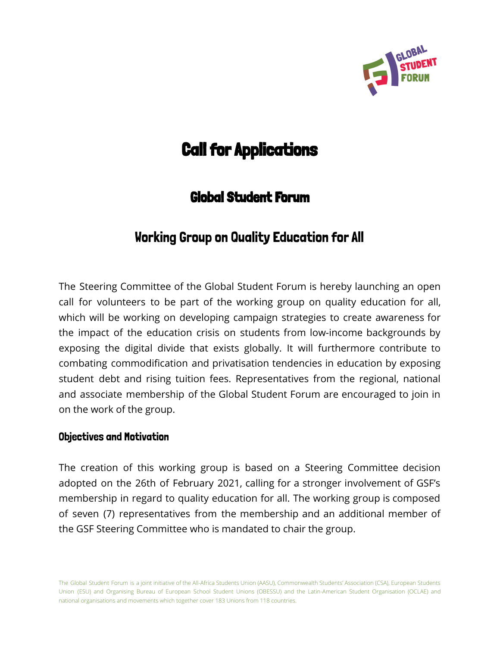

# **Call for Applications**

# Global Student Forum

# Working Group on Quality Education for All

The Steering Committee of the Global Student Forum is hereby launching an open call for volunteers to be part of the working group on quality education for all, which will be working on developing campaign strategies to create awareness for the impact of the education crisis on students from low-income backgrounds by exposing the digital divide that exists globally. It will furthermore contribute to combating commodification and privatisation tendencies in education by exposing student debt and rising tuition fees. Representatives from the regional, national and associate membership of the Global Student Forum are encouraged to join in on the work of the group.

#### Objectives and Motivation

The creation of this working group is based on a Steering Committee decision adopted on the 26th of February 2021, calling for a stronger involvement of GSF's membership in regard to quality education for all. The working group is composed of seven (7) representatives from the membership and an additional member of the GSF Steering Committee who is mandated to chair the group.

The Global Student Forum is a joint initiative of the All-Africa Students Union (AASU), Commonwealth Students' Association (CSA), European Students Union (ESU) and Organising Bureau of European School Student Unions (OBESSU) and the Latin-American Student Organisation (OCLAE) and national organisations and movements which together cover 183 Unions from 118 countries.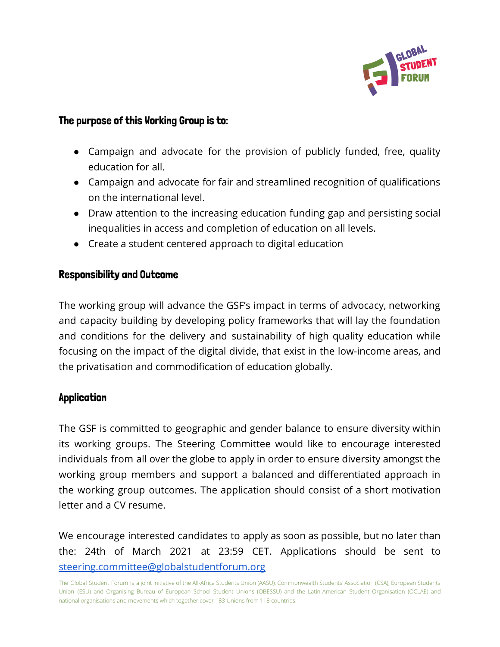

#### The purpose of this Working Group is to:

- Campaign and advocate for the provision of publicly funded, free, quality education for all.
- Campaign and advocate for fair and streamlined recognition of qualifications on the international level.
- Draw attention to the increasing education funding gap and persisting social inequalities in access and completion of education on all levels.
- Create a student centered approach to digital education

#### Responsibility and Outcome

The working group will advance the GSF's impact in terms of advocacy, networking and capacity building by developing policy frameworks that will lay the foundation and conditions for the delivery and sustainability of high quality education while focusing on the impact of the digital divide, that exist in the low-income areas, and the privatisation and commodification of education globally.

## Application

The GSF is committed to geographic and gender balance to ensure diversity within its working groups. The Steering Committee would like to encourage interested individuals from all over the globe to apply in order to ensure diversity amongst the working group members and support a balanced and differentiated approach in the working group outcomes. The application should consist of a short motivation letter and a CV resume.

We encourage interested candidates to apply as soon as possible, but no later than the: 24th of March 2021 at 23:59 CET. Applications should be sent to [steering.committee@globalstudentforum.org](mailto:steering.committee@globalstudentforum.org)

The Global Student Forum is a joint initiative of the All-Africa Students Union (AASU), Commonwealth Students' Association (CSA), European Students Union (ESU) and Organising Bureau of European School Student Unions (OBESSU) and the Latin-American Student Organisation (OCLAE) and national organisations and movements which together cover 183 Unions from 118 countries.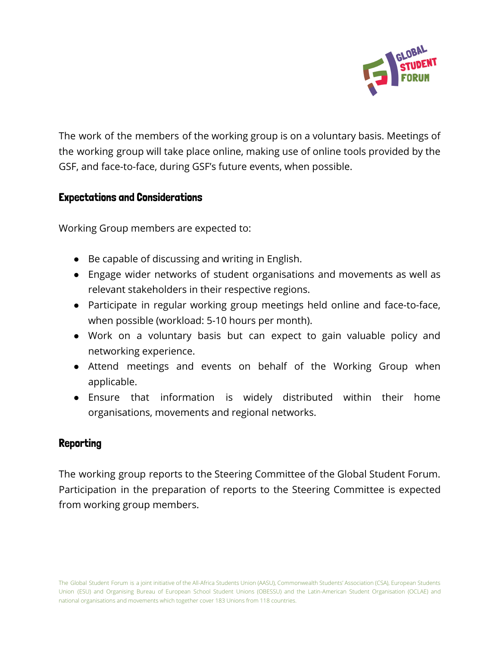

The work of the members of the working group is on a voluntary basis. Meetings of the working group will take place online, making use of online tools provided by the GSF, and face-to-face, during GSF's future events, when possible.

## Expectations and Considerations

Working Group members are expected to:

- Be capable of discussing and writing in English.
- Engage wider networks of student organisations and movements as well as relevant stakeholders in their respective regions.
- Participate in regular working group meetings held online and face-to-face, when possible (workload: 5-10 hours per month).
- Work on a voluntary basis but can expect to gain valuable policy and networking experience.
- Attend meetings and events on behalf of the Working Group when applicable.
- Ensure that information is widely distributed within their home organisations, movements and regional networks.

## Reporting

The working group reports to the Steering Committee of the Global Student Forum. Participation in the preparation of reports to the Steering Committee is expected from working group members.